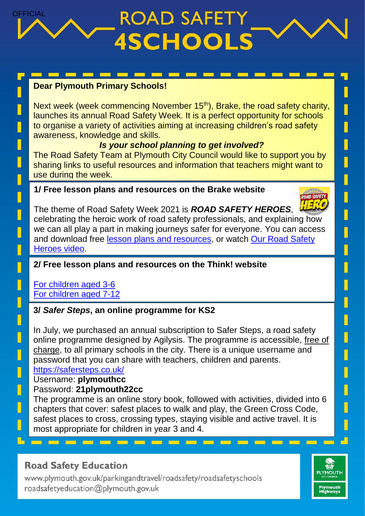

I

I

I

I

# **ROAD SAFETY 4SCHOOLS**

# **Dear Plymouth Primary Schools!**

Next week (week commencing November 15<sup>th</sup>), Brake, the road safety charity, launches its annual Road Safety Week. It is a perfect opportunity for schools to organise a variety of activities aiming at increasing children's road safety awareness, knowledge and skills.

### *Is your school planning to get involved?*

The Road Safety Team at Plymouth City Council would like to support you by sharing links to useful resources and information that teachers might want to use during the week.

**1/ Free lesson plans and resources on the Brake website**



The theme of Road Safety Week 2021 is *ROAD SAFETY HEROES*, celebrating the heroic work of road safety professionals, and explaining how we can all play a part in making journeys safer for everyone. You can access and download free [lesson plans and resources,](https://www.brake.org.uk/road-safety-week/rsw-for-schools#nurseries-childminders-and-primary-schools) or watch [Our Road Safety](https://www.youtube.com/watch?v=j_Z-f_QyAJw)  [Heroes video.](https://www.youtube.com/watch?v=j_Z-f_QyAJw)

# **2/ Free lesson plans and resources on the Think! website**

[For children aged 3-6](https://www.think.gov.uk/education-resources/explore-education-resources/?age%5B%5D=3-to-6) [For children aged 7-12](https://www.think.gov.uk/education-resources/explore-education-resources/?age%5B%5D=7-to-12)

# **3/** *Safer Steps***, an online programme for KS2**

In July, we purchased an annual subscription to Safer Steps, a road safety online programme designed by Agilysis. The programme is accessible, free of charge, to all primary schools in the city. There is a unique username and password that you can share with teachers, children and parents.

<https://safersteps.co.uk/>

#### Username: **plymouthcc**

#### Password: **21plymouth22cc**

The programme is an online story book, followed with activities, divided into 6 chapters that cover: safest places to walk and play, the Green Cross Code, safest places to cross, crossing types, staying visible and active travel. It is most appropriate for children in year 3 and 4.

# **Road Safety Education**

www.plymouth.gov.uk/parkingandtravel/roadsafety/roadsafetyschools roadsafetyeducation@plymouth.gov.uk